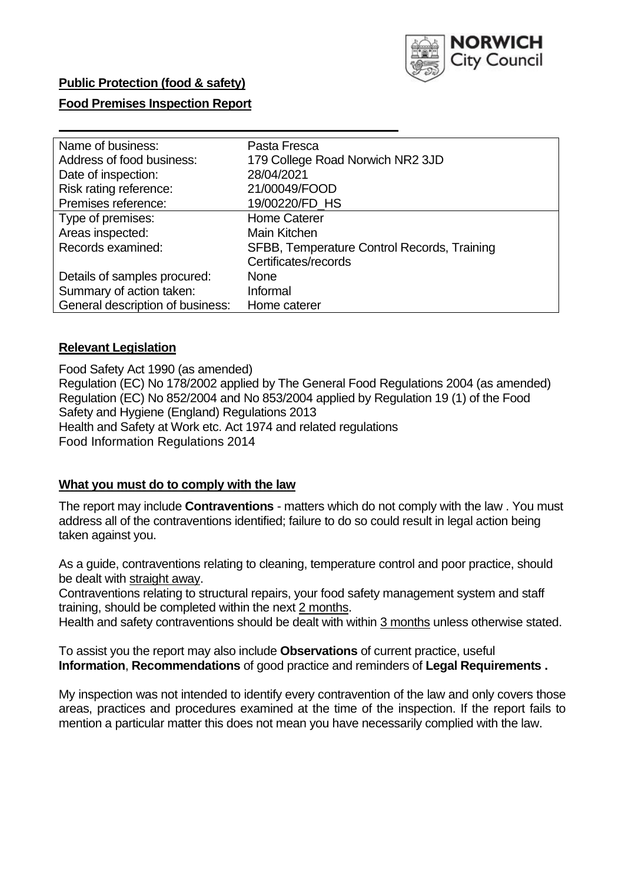

## **Public Protection (food & safety)**

### **Food Premises Inspection Report**

| Name of business:                | Pasta Fresca                                |
|----------------------------------|---------------------------------------------|
| Address of food business:        | 179 College Road Norwich NR2 3JD            |
| Date of inspection:              | 28/04/2021                                  |
| Risk rating reference:           | 21/00049/FOOD                               |
| Premises reference:              | 19/00220/FD HS                              |
| Type of premises:                | <b>Home Caterer</b>                         |
| Areas inspected:                 | Main Kitchen                                |
| Records examined:                | SFBB, Temperature Control Records, Training |
|                                  | Certificates/records                        |
| Details of samples procured:     | None                                        |
| Summary of action taken:         | Informal                                    |
| General description of business: | Home caterer                                |

### **Relevant Legislation**

 Food Safety Act 1990 (as amended) Regulation (EC) No 178/2002 applied by The General Food Regulations 2004 (as amended) Regulation (EC) No 852/2004 and No 853/2004 applied by Regulation 19 (1) of the Food Safety and Hygiene (England) Regulations 2013 Health and Safety at Work etc. Act 1974 and related regulations Food Information Regulations 2014

### **What you must do to comply with the law**

 The report may include **Contraventions** - matters which do not comply with the law . You must address all of the contraventions identified; failure to do so could result in legal action being taken against you.

 As a guide, contraventions relating to cleaning, temperature control and poor practice, should be dealt with straight away.

 Contraventions relating to structural repairs, your food safety management system and staff training, should be completed within the next 2 months.

Health and safety contraventions should be dealt with within 3 months unless otherwise stated.

 To assist you the report may also include **Observations** of current practice, useful **Information**, **Recommendations** of good practice and reminders of **Legal Requirements .** 

 My inspection was not intended to identify every contravention of the law and only covers those areas, practices and procedures examined at the time of the inspection. If the report fails to mention a particular matter this does not mean you have necessarily complied with the law.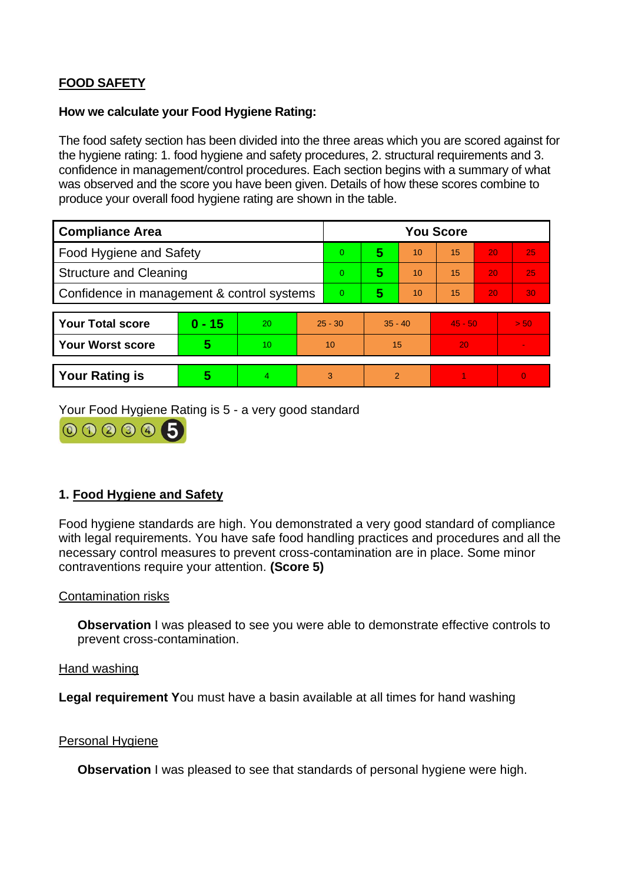# **FOOD SAFETY**

#### **How we calculate your Food Hygiene Rating:**

 The food safety section has been divided into the three areas which you are scored against for the hygiene rating: 1. food hygiene and safety procedures, 2. structural requirements and 3. confidence in management/control procedures. Each section begins with a summary of what was observed and the score you have been given. Details of how these scores combine to produce your overall food hygiene rating are shown in the table.

| <b>Compliance Area</b>                     |          |    |           | <b>You Score</b> |                |    |           |    |                |  |  |
|--------------------------------------------|----------|----|-----------|------------------|----------------|----|-----------|----|----------------|--|--|
| Food Hygiene and Safety                    |          |    | $\Omega$  | 5                | 10             | 15 | 20        | 25 |                |  |  |
| <b>Structure and Cleaning</b>              |          |    | $\Omega$  | 5                | 10             | 15 | 20        | 25 |                |  |  |
| Confidence in management & control systems |          |    | $\Omega$  | 5                | 10             | 15 | 20        | 30 |                |  |  |
|                                            |          |    |           |                  |                |    |           |    |                |  |  |
| <b>Your Total score</b>                    | $0 - 15$ | 20 | $25 - 30$ |                  | $35 - 40$      |    | $45 - 50$ |    | > 50           |  |  |
| Your Worst score                           | 5        | 10 | 10        |                  | 15             |    | 20        |    | $\blacksquare$ |  |  |
|                                            |          |    |           |                  |                |    |           |    |                |  |  |
| <b>Your Rating is</b>                      | 5        | 4  | 3         |                  | $\overline{2}$ |    |           |    | $\Omega$       |  |  |

Your Food Hygiene Rating is 5 - a very good standard



## **1. Food Hygiene and Safety**

 with legal requirements. You have safe food handling practices and procedures and all the Food hygiene standards are high. You demonstrated a very good standard of compliance necessary control measures to prevent cross-contamination are in place. Some minor contraventions require your attention. **(Score 5)** 

### Contamination risks

**Observation** I was pleased to see you were able to demonstrate effective controls to prevent cross-contamination.

Hand washing

**Legal requirement Y**ou must have a basin available at all times for hand washing

#### Personal Hygiene

**Observation** I was pleased to see that standards of personal hygiene were high.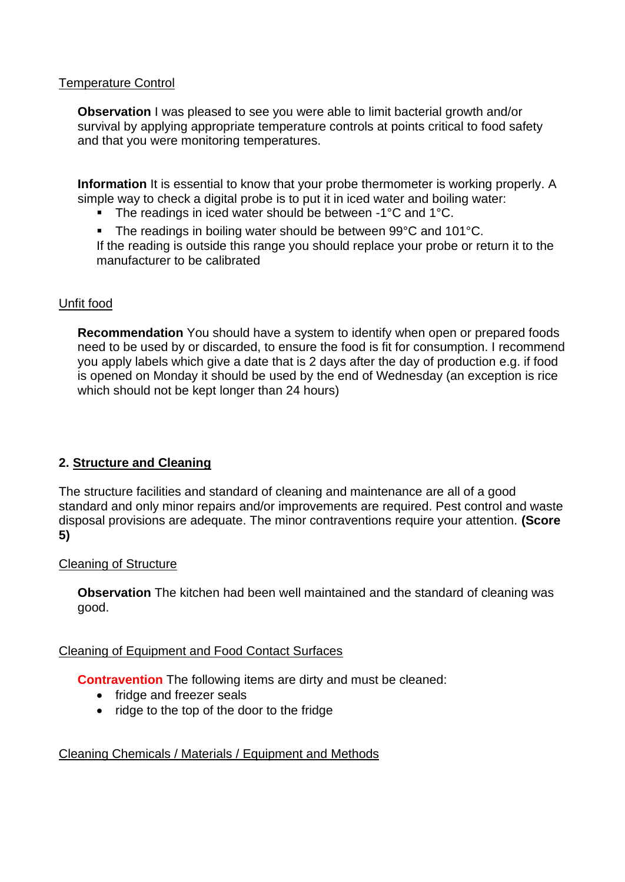### Temperature Control

**Observation** I was pleased to see you were able to limit bacterial growth and/or survival by applying appropriate temperature controls at points critical to food safety and that you were monitoring temperatures.

**Information** It is essential to know that your probe thermometer is working properly. A simple way to check a digital probe is to put it in iced water and boiling water:

■ The readings in iced water should be between -1°C and 1°C.

■ The readings in boiling water should be between 99°C and 101°C. If the reading is outside this range you should replace your probe or return it to the manufacturer to be calibrated

### Unfit food

**Recommendation** You should have a system to identify when open or prepared foods need to be used by or discarded, to ensure the food is fit for consumption. I recommend you apply labels which give a date that is 2 days after the day of production e.g. if food is opened on Monday it should be used by the end of Wednesday (an exception is rice which should not be kept longer than 24 hours)

## **2. Structure and Cleaning**

 The structure facilities and standard of cleaning and maintenance are all of a good standard and only minor repairs and/or improvements are required. Pest control and waste disposal provisions are adequate. The minor contraventions require your attention. **(Score 5)** 

### Cleaning of Structure

 **Observation** The kitchen had been well maintained and the standard of cleaning was good.

### Cleaning of Equipment and Food Contact Surfaces

**Contravention** The following items are dirty and must be cleaned:

- fridge and freezer seals
- ridge to the top of the door to the fridge

## Cleaning Chemicals / Materials / Equipment and Methods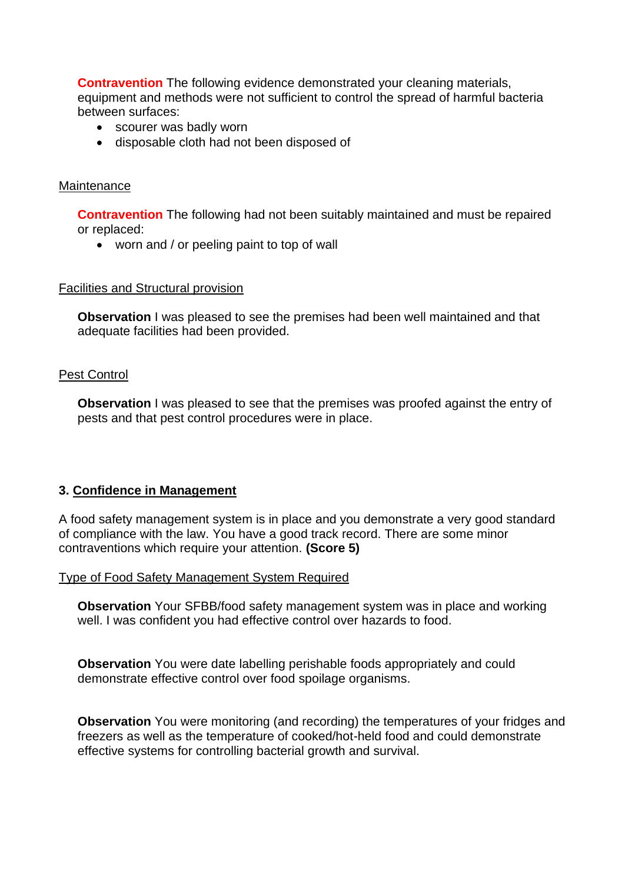**Contravention** The following evidence demonstrated your cleaning materials, equipment and methods were not sufficient to control the spread of harmful bacteria between surfaces:

- scourer was badly worn
- disposable cloth had not been disposed of

#### **Maintenance**

**Contravention** The following had not been suitably maintained and must be repaired or replaced:

• worn and / or peeling paint to top of wall

#### Facilities and Structural provision

 **Observation** I was pleased to see the premises had been well maintained and that adequate facilities had been provided.

#### Pest Control

**Observation** I was pleased to see that the premises was proofed against the entry of pests and that pest control procedures were in place.

### **3. Confidence in Management**

A food safety management system is in place and you demonstrate a very good standard of compliance with the law. You have a good track record. There are some minor contraventions which require your attention. **(Score 5)** 

Type of Food Safety Management System Required

**Observation** Your SFBB/food safety management system was in place and working well. I was confident you had effective control over hazards to food.

 demonstrate effective control over food spoilage organisms. **Observation** You were date labelling perishable foods appropriately and could

**Observation** You were monitoring (and recording) the temperatures of your fridges and freezers as well as the temperature of cooked/hot-held food and could demonstrate effective systems for controlling bacterial growth and survival.